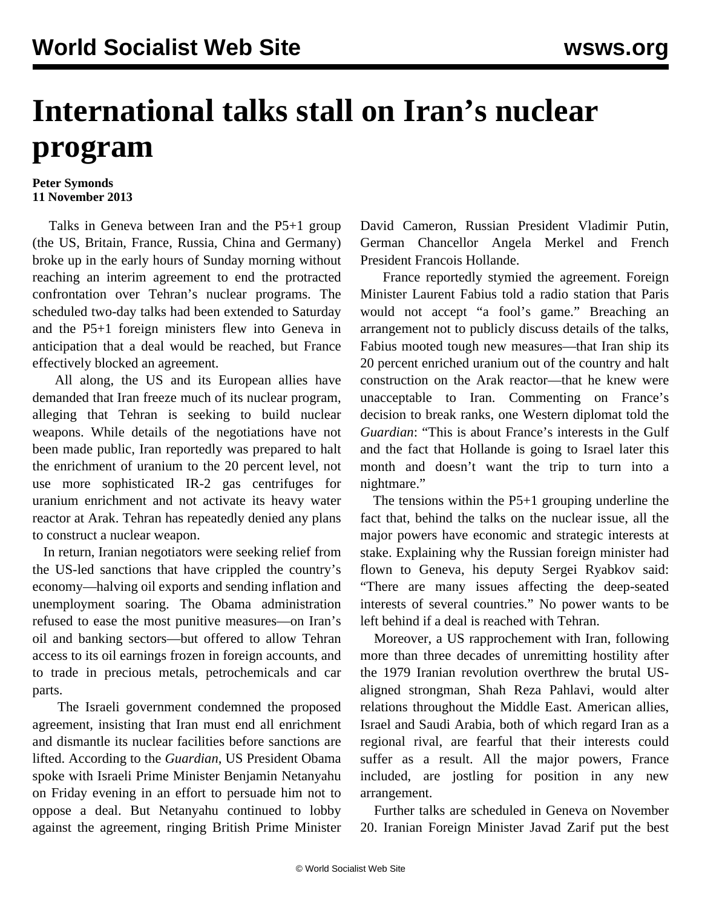## **International talks stall on Iran's nuclear program**

## **Peter Symonds 11 November 2013**

 Talks in Geneva between Iran and the P5+1 group (the US, Britain, France, Russia, China and Germany) broke up in the early hours of Sunday morning without reaching an interim agreement to end the protracted confrontation over Tehran's nuclear programs. The scheduled two-day talks had been extended to Saturday and the P5+1 foreign ministers flew into Geneva in anticipation that a deal would be reached, but France effectively blocked an agreement.

 All along, the US and its European allies have demanded that Iran freeze much of its nuclear program, alleging that Tehran is seeking to build nuclear weapons. While details of the negotiations have not been made public, Iran reportedly was prepared to halt the enrichment of uranium to the 20 percent level, not use more sophisticated IR-2 gas centrifuges for uranium enrichment and not activate its heavy water reactor at Arak. Tehran has repeatedly denied any plans to construct a nuclear weapon.

 In return, Iranian negotiators were seeking relief from the US-led sanctions that have crippled the country's economy—halving oil exports and sending inflation and unemployment soaring. The Obama administration refused to ease the most punitive measures—on Iran's oil and banking sectors—but offered to allow Tehran access to its oil earnings frozen in foreign accounts, and to trade in precious metals, petrochemicals and car parts.

 The Israeli government condemned the proposed agreement, insisting that Iran must end all enrichment and dismantle its nuclear facilities before sanctions are lifted. According to the *Guardian*, US President Obama spoke with Israeli Prime Minister Benjamin Netanyahu on Friday evening in an effort to persuade him not to oppose a deal. But Netanyahu continued to lobby against the agreement, ringing British Prime Minister David Cameron, Russian President Vladimir Putin, German Chancellor Angela Merkel and French President Francois Hollande.

 France reportedly stymied the agreement. Foreign Minister Laurent Fabius told a radio station that Paris would not accept "a fool's game." Breaching an arrangement not to publicly discuss details of the talks, Fabius mooted tough new measures—that Iran ship its 20 percent enriched uranium out of the country and halt construction on the Arak reactor—that he knew were unacceptable to Iran. Commenting on France's decision to break ranks, one Western diplomat told the *Guardian*: "This is about France's interests in the Gulf and the fact that Hollande is going to Israel later this month and doesn't want the trip to turn into a nightmare."

 The tensions within the P5+1 grouping underline the fact that, behind the talks on the nuclear issue, all the major powers have economic and strategic interests at stake. Explaining why the Russian foreign minister had flown to Geneva, his deputy Sergei Ryabkov said: "There are many issues affecting the deep-seated interests of several countries." No power wants to be left behind if a deal is reached with Tehran.

 Moreover, a US rapprochement with Iran, following more than three decades of unremitting hostility after the 1979 Iranian revolution overthrew the brutal USaligned strongman, Shah Reza Pahlavi, would alter relations throughout the Middle East. American allies, Israel and Saudi Arabia, both of which regard Iran as a regional rival, are fearful that their interests could suffer as a result. All the major powers, France included, are jostling for position in any new arrangement.

 Further talks are scheduled in Geneva on November 20. Iranian Foreign Minister Javad Zarif put the best